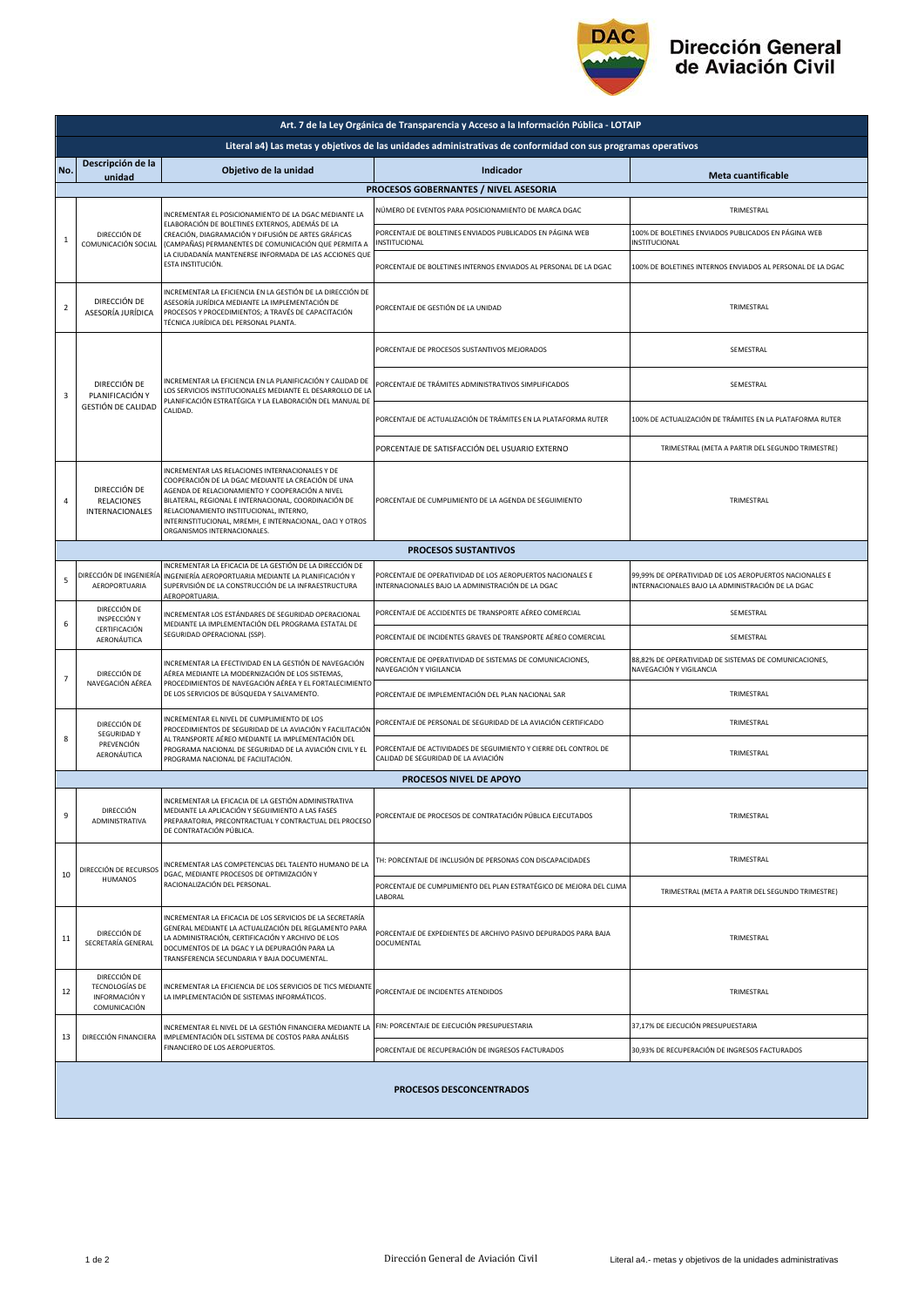

## Dirección General<br>de Aviación Civil

| Art. 7 de la Ley Orgánica de Transparencia y Acceso a la Información Pública - LOTAIP                         |                                                                                                                                                                                                            |                                                                                                                                                                                                                                                                                                                                                        |                                                                                                                 |                                                                                                             |  |  |  |  |
|---------------------------------------------------------------------------------------------------------------|------------------------------------------------------------------------------------------------------------------------------------------------------------------------------------------------------------|--------------------------------------------------------------------------------------------------------------------------------------------------------------------------------------------------------------------------------------------------------------------------------------------------------------------------------------------------------|-----------------------------------------------------------------------------------------------------------------|-------------------------------------------------------------------------------------------------------------|--|--|--|--|
| Literal a4) Las metas y objetivos de las unidades administrativas de conformidad con sus programas operativos |                                                                                                                                                                                                            |                                                                                                                                                                                                                                                                                                                                                        |                                                                                                                 |                                                                                                             |  |  |  |  |
| No.                                                                                                           | Descripción de la<br>unidad                                                                                                                                                                                | Objetivo de la unidad                                                                                                                                                                                                                                                                                                                                  | Indicador                                                                                                       | <b>Meta cuantificable</b>                                                                                   |  |  |  |  |
|                                                                                                               | PROCESOS GOBERNANTES / NIVEL ASESORIA                                                                                                                                                                      |                                                                                                                                                                                                                                                                                                                                                        |                                                                                                                 |                                                                                                             |  |  |  |  |
| $\mathbf 1$                                                                                                   | DIRECCIÓN DE<br>COMUNICACIÓN SOCIAL                                                                                                                                                                        | INCREMENTAR EL POSICIONAMIENTO DE LA DGAC MEDIANTE LA<br>ELABORACIÓN DE BOLETINES EXTERNOS, ADEMÁS DE LA<br>CREACIÓN, DIAGRAMACIÓN Y DIFUSIÓN DE ARTES GRÁFICAS<br>(CAMPAÑAS) PERMANENTES DE COMUNICACIÓN QUE PERMITA A<br>LA CIUDADANÍA MANTENERSE INFORMADA DE LAS ACCIONES QUE<br>ESTA INSTITUCIÓN.                                                 | NÚMERO DE EVENTOS PARA POSICIONAMIENTO DE MARCA DGAC                                                            | TRIMESTRAL                                                                                                  |  |  |  |  |
|                                                                                                               |                                                                                                                                                                                                            |                                                                                                                                                                                                                                                                                                                                                        | PORCENTAJE DE BOLETINES ENVIADOS PUBLICADOS EN PÁGINA WEB<br>INSTITUCIONAL                                      | 100% DE BOLETINES ENVIADOS PUBLICADOS EN PÁGINA WEB<br>INSTITUCIONAL                                        |  |  |  |  |
|                                                                                                               |                                                                                                                                                                                                            |                                                                                                                                                                                                                                                                                                                                                        | PORCENTAJE DE BOLETINES INTERNOS ENVIADOS AL PERSONAL DE LA DGAC                                                | 100% DE BOLETINES INTERNOS ENVIADOS AL PERSONAL DE LA DGAC                                                  |  |  |  |  |
| $\overline{2}$                                                                                                | DIRECCIÓN DE<br>ASESORÍA JURÍDICA                                                                                                                                                                          | INCREMENTAR LA EFICIENCIA EN LA GESTIÓN DE LA DIRECCIÓN DE<br>ASESORÍA JURÍDICA MEDIANTE LA IMPLEMENTACIÓN DE<br>PROCESOS Y PROCEDIMIENTOS; A TRAVÉS DE CAPACITACIÓN<br>TÉCNICA JURÍDICA DEL PERSONAL PLANTA.                                                                                                                                          | PORCENTAJE DE GESTIÓN DE LA UNIDAD                                                                              | TRIMESTRAL                                                                                                  |  |  |  |  |
| 3                                                                                                             | DIRECCIÓN DE<br>PLANIFICACIÓN Y<br>GESTIÓN DE CALIDAD                                                                                                                                                      | INCREMENTAR LA EFICIENCIA EN LA PLANIFICACIÓN Y CALIDAD DE<br>LOS SERVICIOS INSTITUCIONALES MEDIANTE EL DESARROLLO DE LA<br>PLANIFICACIÓN ESTRATÉGICA Y LA ELABORACIÓN DEL MANUAL DE<br>CALIDAD.                                                                                                                                                       | PORCENTAJE DE PROCESOS SUSTANTIVOS MEJORADOS                                                                    | SEMESTRAL                                                                                                   |  |  |  |  |
|                                                                                                               |                                                                                                                                                                                                            |                                                                                                                                                                                                                                                                                                                                                        | PORCENTAJE DE TRÁMITES ADMINISTRATIVOS SIMPLIFICADOS                                                            | SEMESTRAL                                                                                                   |  |  |  |  |
|                                                                                                               |                                                                                                                                                                                                            |                                                                                                                                                                                                                                                                                                                                                        | PORCENTAJE DE ACTUALIZACIÓN DE TRÁMITES EN LA PLATAFORMA RUTER                                                  | 100% DE ACTUALIZACIÓN DE TRÁMITES EN LA PLATAFORMA RUTER                                                    |  |  |  |  |
|                                                                                                               |                                                                                                                                                                                                            |                                                                                                                                                                                                                                                                                                                                                        | PORCENTAJE DE SATISFACCIÓN DEL USUARIO EXTERNO                                                                  | TRIMESTRAL (META A PARTIR DEL SEGUNDO TRIMESTRE)                                                            |  |  |  |  |
| 4                                                                                                             | DIRECCIÓN DE<br><b>RELACIONES</b><br><b>INTERNACIONALES</b>                                                                                                                                                | INCREMENTAR LAS RELACIONES INTERNACIONALES Y DE<br>COOPERACIÓN DE LA DGAC MEDIANTE LA CREACIÓN DE UNA<br>AGENDA DE RELACIONAMIENTO Y COOPERACIÓN A NIVEL<br>BILATERAL, REGIONAL E INTERNACIONAL, COORDINACIÓN DE<br>RELACIONAMIENTO INSTITUCIONAL, INTERNO,<br>INTERINSTITUCIONAL, MREMH, E INTERNACIONAL, OACI Y OTROS<br>ORGANISMOS INTERNACIONALES. | PORCENTAJE DE CUMPLIMIENTO DE LA AGENDA DE SEGUIMIENTO                                                          | TRIMESTRAL                                                                                                  |  |  |  |  |
| <b>PROCESOS SUSTANTIVOS</b>                                                                                   |                                                                                                                                                                                                            |                                                                                                                                                                                                                                                                                                                                                        |                                                                                                                 |                                                                                                             |  |  |  |  |
| 5                                                                                                             | DIRECCIÓN DE INGENIERÍA<br>AEROPORTUARIA                                                                                                                                                                   | INCREMENTAR LA EFICACIA DE LA GESTIÓN DE LA DIRECCIÓN DE<br>INGENIERÍA AEROPORTUARIA MEDIANTE LA PLANIFICACIÓN Y<br>SUPERVISIÓN DE LA CONSTRUCCIÓN DE LA INFRAESTRUCTURA<br>AEROPORTUARIA.                                                                                                                                                             | PORCENTAJE DE OPERATIVIDAD DE LOS AEROPUERTOS NACIONALES E<br>INTERNACIONALES BAJO LA ADMINISTRACIÓN DE LA DGAC | 99,99% DE OPERATIVIDAD DE LOS AEROPUERTOS NACIONALES E<br>INTERNACIONALES BAJO LA ADMINISTRACIÓN DE LA DGAC |  |  |  |  |
|                                                                                                               | DIRECCIÓN DE<br>INSPECCIÓN Y<br>CERTIFICACIÓN<br>AERONÁUTICA                                                                                                                                               | INCREMENTAR LOS ESTÁNDARES DE SEGURIDAD OPERACIONAL<br>MEDIANTE LA IMPLEMENTACIÓN DEL PROGRAMA ESTATAL DE<br>SEGURIDAD OPERACIONAL (SSP).                                                                                                                                                                                                              | PORCENTAJE DE ACCIDENTES DE TRANSPORTE AÉREO COMERCIAL                                                          | SEMESTRAL                                                                                                   |  |  |  |  |
| 6                                                                                                             |                                                                                                                                                                                                            |                                                                                                                                                                                                                                                                                                                                                        | PORCENTAJE DE INCIDENTES GRAVES DE TRANSPORTE AÉREO COMERCIAL                                                   | SEMESTRAL                                                                                                   |  |  |  |  |
| $\overline{7}$                                                                                                | DIRECCIÓN DE<br>NAVEGACIÓN AÉREA                                                                                                                                                                           | INCREMENTAR LA EFECTIVIDAD EN LA GESTIÓN DE NAVEGACIÓN<br>AÉREA MEDIANTE LA MODERNIZACIÓN DE LOS SISTEMAS,<br>PROCEDIMIENTOS DE NAVEGACIÓN AÉREA Y EL FORTALECIMIENTO<br>DE LOS SERVICIOS DE BÚSQUEDA Y SALVAMENTO.                                                                                                                                    | PORCENTAJE DE OPERATIVIDAD DE SISTEMAS DE COMUNICACIONES,<br>NAVEGACIÓN Y VIGILANCIA                            | 88,82% DE OPERATIVIDAD DE SISTEMAS DE COMUNICACIONES,<br>NAVEGACIÓN Y VIGILANCIA                            |  |  |  |  |
|                                                                                                               |                                                                                                                                                                                                            |                                                                                                                                                                                                                                                                                                                                                        | PORCENTAJE DE IMPLEMENTACIÓN DEL PLAN NACIONAL SAR                                                              | TRIMESTRAL                                                                                                  |  |  |  |  |
| 8                                                                                                             | INCREMENTAR EL NIVEL DE CUMPLIMIENTO DE LOS<br>DIRECCIÓN DE<br><b>SEGURIDAD Y</b><br>AL TRANSPORTE AÉREO MEDIANTE LA IMPLEMENTACIÓN DEL<br>PREVENCIÓN<br>AERONÁUTICA<br>PROGRAMA NACIONAL DE FACILITACIÓN. | PROCEDIMIENTOS DE SEGURIDAD DE LA AVIACIÓN Y FACILITACIÓN                                                                                                                                                                                                                                                                                              | PORCENTAJE DE PERSONAL DE SEGURIDAD DE LA AVIACIÓN CERTIFICADO                                                  | TRIMESTRAL                                                                                                  |  |  |  |  |
|                                                                                                               |                                                                                                                                                                                                            | PROGRAMA NACIONAL DE SEGURIDAD DE LA AVIACIÓN CIVIL Y EL                                                                                                                                                                                                                                                                                               | PORCENTAJE DE ACTIVIDADES DE SEGUIMIENTO Y CIERRE DEL CONTROL DE<br>CALIDAD DE SEGURIDAD DE LA AVIACIÓN         | TRIMESTRAL                                                                                                  |  |  |  |  |
| <b>PROCESOS NIVEL DE APOYO</b>                                                                                |                                                                                                                                                                                                            |                                                                                                                                                                                                                                                                                                                                                        |                                                                                                                 |                                                                                                             |  |  |  |  |
| 9                                                                                                             | DIRECCIÓN<br><b>ADMINISTRATIVA</b>                                                                                                                                                                         | INCREMENTAR LA EFICACIA DE LA GESTIÓN ADMINISTRATIVA<br>MEDIANTE LA APLICACIÓN Y SEGUIMIENTO A LAS FASES<br>PREPARATORIA, PRECONTRACTUAL Y CONTRACTUAL DEL PROCESO<br>DE CONTRATACIÓN PÚBLICA.                                                                                                                                                         | PORCENTAJE DE PROCESOS DE CONTRATACIÓN PÚBLICA EJECUTADOS                                                       | TRIMESTRAL                                                                                                  |  |  |  |  |
| 10                                                                                                            | DIRECCIÓN DE RECURSOS<br><b>HUMANOS</b>                                                                                                                                                                    | INCREMENTAR LAS COMPETENCIAS DEL TALENTO HUMANO DE LA<br>DGAC, MEDIANTE PROCESOS DE OPTIMIZACIÓN Y<br>RACIONALIZACIÓN DEL PERSONAL.                                                                                                                                                                                                                    | TH: PORCENTAJE DE INCLUSIÓN DE PERSONAS CON DISCAPACIDADES                                                      | TRIMESTRAL                                                                                                  |  |  |  |  |
|                                                                                                               |                                                                                                                                                                                                            |                                                                                                                                                                                                                                                                                                                                                        | PORCENTAJE DE CUMPLIMIENTO DEL PLAN ESTRATÉGICO DE MEJORA DEL CLIMA<br>LABORAL                                  | TRIMESTRAL (META A PARTIR DEL SEGUNDO TRIMESTRE)                                                            |  |  |  |  |
| 11                                                                                                            | DIRECCIÓN DE<br>SECRETARÍA GENERAL                                                                                                                                                                         | INCREMENTAR LA EFICACIA DE LOS SERVICIOS DE LA SECRETARÍA<br>GENERAL MEDIANTE LA ACTUALIZACIÓN DEL REGLAMENTO PARA<br>LA ADMINISTRACIÓN, CERTIFICACIÓN Y ARCHIVO DE LOS<br>DOCUMENTOS DE LA DGAC Y LA DEPURACIÓN PARA LA<br>TRANSFERENCIA SECUNDARIA Y BAJA DOCUMENTAL.                                                                                | PORCENTAJE DE EXPEDIENTES DE ARCHIVO PASIVO DEPURADOS PARA BAJA<br>DOCUMENTAL                                   | TRIMESTRAL                                                                                                  |  |  |  |  |
| 12                                                                                                            | DIRECCIÓN DE<br><b>TECNOLOGÍAS DE</b><br>INFORMACIÓN Y<br>COMUNICACIÓN                                                                                                                                     | INCREMENTAR LA EFICIENCIA DE LOS SERVICIOS DE TICS MEDIANTE<br>LA IMPLEMENTACIÓN DE SISTEMAS INFORMÁTICOS.                                                                                                                                                                                                                                             | PORCENTAJE DE INCIDENTES ATENDIDOS                                                                              | TRIMESTRAL                                                                                                  |  |  |  |  |
| 13                                                                                                            | DIRECCIÓN FINANCIERA                                                                                                                                                                                       | INCREMENTAR EL NIVEL DE LA GESTIÓN FINANCIERA MEDIANTE LA<br>IMPLEMENTACIÓN DEL SISTEMA DE COSTOS PARA ANÁLISIS<br>FINANCIERO DE LOS AEROPUERTOS.                                                                                                                                                                                                      | FIN: PORCENTAJE DE EJECUCIÓN PRESUPUESTARIA                                                                     | 37,17% DE EJECUCIÓN PRESUPUESTARIA                                                                          |  |  |  |  |
|                                                                                                               |                                                                                                                                                                                                            |                                                                                                                                                                                                                                                                                                                                                        | PORCENTAJE DE RECUPERACIÓN DE INGRESOS FACTURADOS                                                               | 30,93% DE RECUPERACIÓN DE INGRESOS FACTURADOS                                                               |  |  |  |  |
| PROCESOS DESCONCENTRADOS                                                                                      |                                                                                                                                                                                                            |                                                                                                                                                                                                                                                                                                                                                        |                                                                                                                 |                                                                                                             |  |  |  |  |